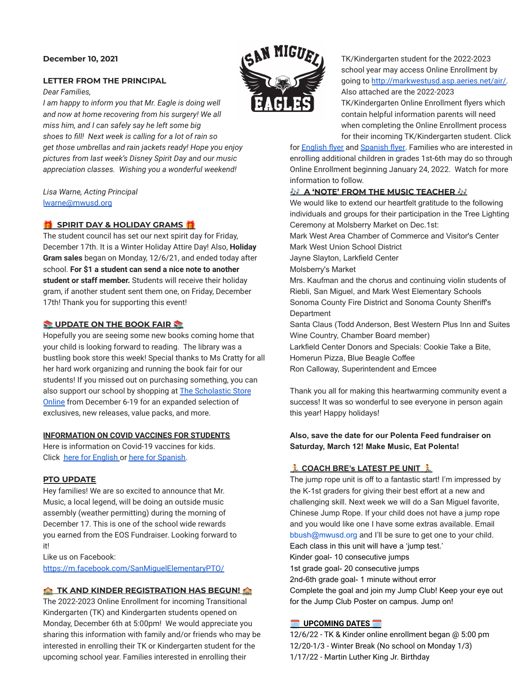# **December 10, 2021**

## **LETTER FROM THE PRINCIPAL**

*Dear Families,*

*I am happy to inform you that Mr. Eagle is doing well and now at home recovering from his surgery! We all miss him, and I can safely say he left some big shoes to fill! Next week is calling for a lot of rain so get those umbrellas and rain jackets ready! Hope you enjoy pictures from last week's Disney Spirit Day and our music appreciation classes. Wishing you a wonderful weekend!*

*Lisa Warne, Acting Principal* [lwarne@mwusd.org](mailto:lwarne@mwusd.org)

# **SPIRIT DAY & HOLIDAY GRAMS**

The student council has set our next spirit day for Friday, December 17th. It is a Winter Holiday Attire Day! Also, **Holiday Gram sales** began on Monday, 12/6/21, and ended today after school. **For \$1 a student can send a nice note to another student or staff member.** Students will receive their holiday gram, if another student sent them one, on Friday, December 17th! Thank you for supporting this event!

## **UPDATE ON THE BOOK FAIR**

Hopefully you are seeing some new books coming home that your child is looking forward to reading. The library was a bustling book store this week! Special thanks to Ms Cratty for all her hard work organizing and running the book fair for our students! If you missed out on purchasing something, you can also support our school by shopping at [The Scholastic](https://bookfairs.scholastic.com/bookfairs/cptoolkit/homepage.do?method=homepage&url=sanmiguelelementaryschool3) Store [Online](https://bookfairs.scholastic.com/bookfairs/cptoolkit/homepage.do?method=homepage&url=sanmiguelelementaryschool3) from December 6-19 for an expanded selection of exclusives, new releases, value packs, and more.

### **INFORMATION ON COVID VACCINES FOR STUDENTS**

Here is information on Covid-19 vaccines for kids. Click [here for English](https://drive.google.com/file/d/1mNZiklQ3Ypa6vLRn9sdVd32ApoH6rFpP/view?usp=sharing) or [here for Spanish.](https://drive.google.com/file/d/1-Ymle4rgQefLfSqj6jxj99g91HHHVDBD/view?usp=sharing)

### **PTO UPDATE**

Hey families! We are so excited to announce that Mr. Music, a local legend, will be doing an outside music assembly (weather permitting) during the morning of December 17. This is one of the school wide rewards you earned from the EOS Fundraiser. Looking forward to it!

Like us on Facebook:

<https://m.facebook.com/SanMiguelElementaryPTO/>

### **AND KINDER REGISTRATION HAS BEGUN!**

The 2022-2023 Online Enrollment for incoming Transitional Kindergarten (TK) and Kindergarten students opened on Monday, December 6th at 5:00pm! We would appreciate you sharing this information with family and/or friends who may be interested in enrolling their TK or Kindergarten student for the upcoming school year. Families interested in enrolling their



TK/Kindergarten student for the 2022-2023 school year may access Online Enrollment by going to [http://markwestusd.asp.aeries.net/air/.](http://markwestusd.asp.aeries.net/air/) Also attached are the 2022-2023

TK/Kindergarten Online Enrollment flyers which contain helpful information parents will need when completing the Online Enrollment process for their incoming TK/Kindergarten student. Click

for **[English flyer](https://drive.google.com/file/d/1T--eykiGrfEIJClRoq1aSevnAxgVpSDM/view?usp=sharing) and Spanish flyer**. Families who are interested in enrolling additional children in grades 1st-6th may do so through Online Enrollment beginning January 24, 2022. Watch for more information to follow.

## **A 'NOTE' FROM THE MUSIC TEACHER**

We would like to extend our heartfelt gratitude to the following individuals and groups for their participation in the Tree Lighting Ceremony at Molsberry Market on Dec.1st:

Mark West Area Chamber of Commerce and Visitor's Center Mark West Union School District

Jayne Slayton, Larkfield Center

Molsberry's Market

Mrs. Kaufman and the chorus and continuing violin students of Riebli, San Miguel, and Mark West Elementary Schools Sonoma County Fire District and Sonoma County Sheriff's **Department** 

Santa Claus (Todd Anderson, Best Western Plus Inn and Suites Wine Country, Chamber Board member)

Larkfield Center Donors and Specials: Cookie Take a Bite, Homerun Pizza, Blue Beagle Coffee

Ron Calloway, Superintendent and Emcee

Thank you all for making this heartwarming community event a success! It was so wonderful to see everyone in person again this year! Happy holidays!

# **Also, save the date for our Polenta Feed fundraiser on Saturday, March 12! Make Music, Eat Polenta!**

# **COACH BRE's LATEST PE UNIT**

The jump rope unit is off to a fantastic start! I'm impressed by the K-1st graders for giving their best effort at a new and challenging skill. Next week we will do a San Miguel favorite, Chinese Jump Rope. If your child does not have a jump rope and you would like one I have some extras available. Email bbush@mwusd.org and I'll be sure to get one to your child. Each class in this unit will have a 'jump test.' Kinder goal- 10 consecutive jumps 1st grade goal- 20 consecutive jumps 2nd-6th grade goal- 1 minute without error Complete the goal and join my Jump Club! Keep your eye out for the Jump Club Poster on campus. Jump on!

# **UPCOMING DATES**

12/6/22 - TK & Kinder online enrollment began @ 5:00 pm 12/20-1/3 - Winter Break (No school on Monday 1/3) 1/17/22 - Martin Luther King Jr. Birthday